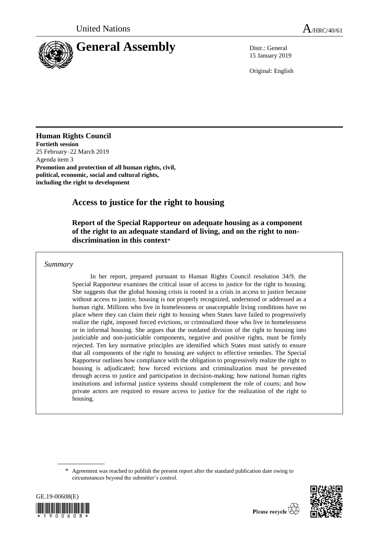

15 January 2019

Original: English

## **Human Rights Council**

**Fortieth session**  25 February–22 March 2019 Agenda item 3 **Promotion and protection of all human rights, civil, political, economic, social and cultural rights, including the right to development**

# **Access to justice for the right to housing**

## **Report of the Special Rapporteur on adequate housing as a component of the right to an adequate standard of living, and on the right to nondiscrimination in this context**\*

## *Summary*

In her report, prepared pursuant to Human Rights Council resolution 34/9, the Special Rapporteur examines the critical issue of access to justice for the right to housing. She suggests that the global housing crisis is rooted in a crisis in access to justice because without access to justice, housing is not properly recognized, understood or addressed as a human right. Millions who live in homelessness or unacceptable living conditions have no place where they can claim their right to housing when States have failed to progressively realize the right, imposed forced evictions, or criminalized those who live in homelessness or in informal housing. She argues that the outdated division of the right to housing into justiciable and non-justiciable components, negative and positive rights, must be firmly rejected. Ten key normative principles are identified which States must satisfy to ensure that all components of the right to housing are subject to effective remedies. The Special Rapporteur outlines how compliance with the obligation to progressively realize the right to housing is adjudicated; how forced evictions and criminalization must be prevented through access to justice and participation in decision-making; how national human rights institutions and informal justice systems should complement the role of courts; and how private actors are required to ensure access to justice for the realization of the right to housing.

<sup>\*</sup> Agreement was reached to publish the present report after the standard publication date owing to circumstances beyond the submitter's control.



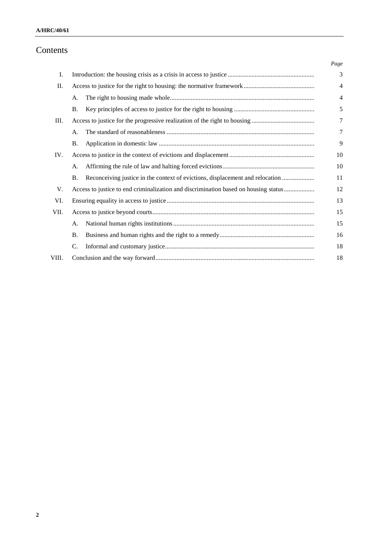### **A/HRC/40/61**

# Contents

|       |                                                                                            | Page           |
|-------|--------------------------------------------------------------------------------------------|----------------|
| I.    |                                                                                            | 3              |
| П.    |                                                                                            | $\overline{4}$ |
|       | А.                                                                                         | $\overline{4}$ |
|       | <b>B.</b>                                                                                  | 5              |
| Ш.    |                                                                                            | $\tau$         |
|       | А.                                                                                         | 7              |
|       | Β.                                                                                         | 9              |
| IV.   |                                                                                            | 10             |
|       | А.                                                                                         | 10             |
|       | Reconceiving justice in the context of evictions, displacement and relocation<br><b>B.</b> | 11             |
| V.    | Access to justice to end criminalization and discrimination based on housing status        | 12             |
| VI.   |                                                                                            | 13             |
| VII.  |                                                                                            | 15             |
|       | А.                                                                                         | 15             |
|       | <b>B.</b>                                                                                  | 16             |
|       | C.                                                                                         | 18             |
| VIII. |                                                                                            | 18             |
|       |                                                                                            |                |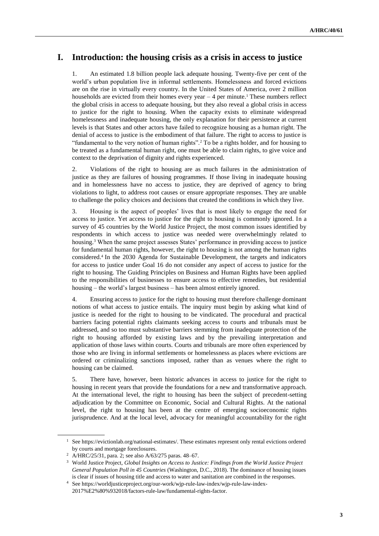# **I. Introduction: the housing crisis as a crisis in access to justice**

1. An estimated 1.8 billion people lack adequate housing. Twenty-five per cent of the world's urban population live in informal settlements. Homelessness and forced evictions are on the rise in virtually every country. In the United States of America, over 2 million households are evicted from their homes every year  $-4$  per minute.<sup>1</sup> These numbers reflect the global crisis in access to adequate housing, but they also reveal a global crisis in access to justice for the right to housing. When the capacity exists to eliminate widespread homelessness and inadequate housing, the only explanation for their persistence at current levels is that States and other actors have failed to recognize housing as a human right. The denial of access to justice is the embodiment of that failure. The right to access to justice is "fundamental to the very notion of human rights".<sup>2</sup> To be a rights holder, and for housing to be treated as a fundamental human right, one must be able to claim rights, to give voice and context to the deprivation of dignity and rights experienced.

2. Violations of the right to housing are as much failures in the administration of justice as they are failures of housing programmes. If those living in inadequate housing and in homelessness have no access to justice, they are deprived of agency to bring violations to light, to address root causes or ensure appropriate responses. They are unable to challenge the policy choices and decisions that created the conditions in which they live.

3. Housing is the aspect of peoples' lives that is most likely to engage the need for access to justice. Yet access to justice for the right to housing is commonly ignored. In a survey of 45 countries by the World Justice Project, the most common issues identified by respondents in which access to justice was needed were overwhelmingly related to housing.<sup>3</sup> When the same project assesses States' performance in providing access to justice for fundamental human rights, however, the right to housing is not among the human rights considered.<sup>4</sup> In the 2030 Agenda for Sustainable Development, the targets and indicators for access to justice under Goal 16 do not consider any aspect of access to justice for the right to housing. The Guiding Principles on Business and Human Rights have been applied to the responsibilities of businesses to ensure access to effective remedies, but residential housing – the world's largest business – has been almost entirely ignored.

4. Ensuring access to justice for the right to housing must therefore challenge dominant notions of what access to justice entails. The inquiry must begin by asking what kind of justice is needed for the right to housing to be vindicated. The procedural and practical barriers facing potential rights claimants seeking access to courts and tribunals must be addressed, and so too must substantive barriers stemming from inadequate protection of the right to housing afforded by existing laws and by the prevailing interpretation and application of those laws within courts. Courts and tribunals are more often experienced by those who are living in informal settlements or homelessness as places where evictions are ordered or criminalizing sanctions imposed, rather than as venues where the right to housing can be claimed.

5. There have, however, been historic advances in access to justice for the right to housing in recent years that provide the foundations for a new and transformative approach. At the international level, the right to housing has been the subject of precedent-setting adjudication by the Committee on Economic, Social and Cultural Rights. At the national level, the right to housing has been at the centre of emerging socioeconomic rights jurisprudence. And at the local level, advocacy for meaningful accountability for the right

<sup>&</sup>lt;sup>1</sup> Se[e https://evictionlab.org/national-estimates/.](https://evictionlab.org/national-estimates/) These estimates represent only rental evictions ordered by courts and mortgage foreclosures.

<sup>2</sup> [A/HRC/25/31,](https://www.ohchr.org/EN/HRBodies/HRC/RegularSessions/Session25/Documents/A-HRC-25-31_en.doc) para. 2; see also [A/63/275](https://undocs.org/A/63/275) paras. 48–67.

<sup>3</sup> World Justice Project, *Global Insights on Access to Justice: Findings from the World Justice Project General Population Poll in 45 Countries* (Washington, D.C., 2018). The dominance of housing issues is clear if issues of housing title and access to water and sanitation are combined in the responses.

<sup>4</sup> See https://worldjusticeproject.org/our-work/wjp-rule-law-index/wjp-rule-law-index-2017%E2%80%932018/factors-rule-law/fundamental-rights-factor.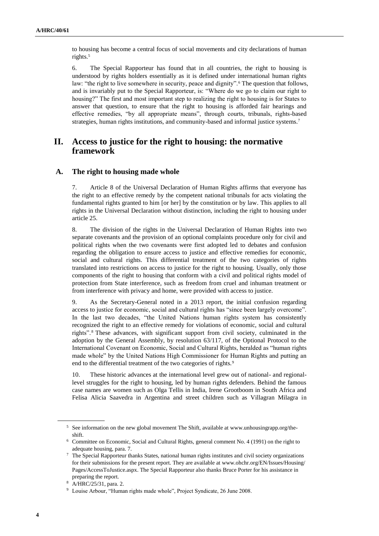to housing has become a central focus of social movements and city declarations of human rights.<sup>5</sup>

6. The Special Rapporteur has found that in all countries, the right to housing is understood by rights holders essentially as it is defined under international human rights law: "the right to live somewhere in security, peace and dignity".<sup>6</sup> The question that follows, and is invariably put to the Special Rapporteur, is: "Where do we go to claim our right to housing?" The first and most important step to realizing the right to housing is for States to answer that question, to ensure that the right to housing is afforded fair hearings and effective remedies, "by all appropriate means", through courts, tribunals, rights-based strategies, human rights institutions, and community-based and informal justice systems.<sup>7</sup>

## **II. Access to justice for the right to housing: the normative framework**

### **A. The right to housing made whole**

7. Article 8 of the Universal Declaration of Human Rights affirms that everyone has the right to an effective remedy by the competent national tribunals for acts violating the fundamental rights granted to him [or her] by the constitution or by law. This applies to all rights in the Universal Declaration without distinction, including the right to housing under article 25.

8. The division of the rights in the Universal Declaration of Human Rights into two separate covenants and the provision of an optional complaints procedure only for civil and political rights when the two covenants were first adopted led to debates and confusion regarding the obligation to ensure access to justice and effective remedies for economic, social and cultural rights. This differential treatment of the two categories of rights translated into restrictions on access to justice for the right to housing. Usually, only those components of the right to housing that conform with a civil and political rights model of protection from State interference, such as freedom from cruel and inhuman treatment or from interference with privacy and home, were provided with access to justice.

9. As the Secretary-General noted in a 2013 report, the initial confusion regarding access to justice for economic, social and cultural rights has "since been largely overcome". In the last two decades, "the United Nations human rights system has consistently recognized the right to an effective remedy for violations of economic, social and cultural rights". <sup>8</sup> These advances, with significant support from civil society, culminated in the adoption by the General Assembly, by resolution 63/117, of the Optional Protocol to the International Covenant on Economic, Social and Cultural Rights, heralded as "human rights made whole" by the United Nations High Commissioner for Human Rights and putting an end to the differential treatment of the two categories of rights.<sup>9</sup>

10. These historic advances at the international level grew out of national- and regionallevel struggles for the right to housing, led by human rights defenders. Behind the famous case names are women such as Olga Tellis in India, Irene Grootboom in South Africa and Felisa Alicia Saavedra in Argentina and street children such as Villagran Milagra in

<sup>5</sup> See information on the new global movement The Shift, available at [www.unhousingrapp.org/the](file:///C:/Users/Valued%20Customer/Documents/Bonnie%20Wordsmith/Documents%202019/January/www.unhousingrapp.org/the-shift)[shift.](file:///C:/Users/Valued%20Customer/Documents/Bonnie%20Wordsmith/Documents%202019/January/www.unhousingrapp.org/the-shift)

<sup>6</sup> Committee on Economic, Social and Cultural Rights, general comment No. 4 (1991) on the right to adequate housing, para. 7.

<sup>7</sup> The Special Rapporteur thanks States, national human rights institutes and civil society organizations for their submissions for the present report. They are available at [www.ohchr.org/EN/Issues/Housing/](http://www.ohchr.org/EN/Issues/Housing/Pages/AccessToJustice.aspx) [Pages/AccessToJustice.aspx.](http://www.ohchr.org/EN/Issues/Housing/Pages/AccessToJustice.aspx) The Special Rapporteur also thanks Bruce Porter for his assistance in preparing the report.

<sup>8</sup> [A/HRC/25/31,](https://www.ohchr.org/en/hrbodies/hrc/regularsessions/session25/pages/listreports.aspx) para. 2.

<sup>9</sup> Louise Arbour, "Human rights made whole", Project Syndicate, 26 June 2008.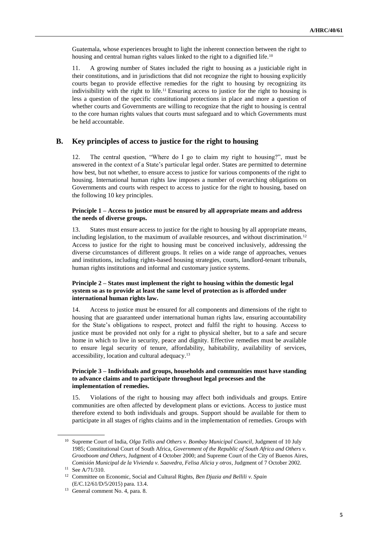Guatemala, whose experiences brought to light the inherent connection between the right to housing and central human rights values linked to the right to a dignified life.<sup>10</sup>

11. A growing number of States included the right to housing as a justiciable right in their constitutions, and in jurisdictions that did not recognize the right to housing explicitly courts began to provide effective remedies for the right to housing by recognizing its indivisibility with the right to life.<sup>11</sup> Ensuring access to justice for the right to housing is less a question of the specific constitutional protections in place and more a question of whether courts and Governments are willing to recognize that the right to housing is central to the core human rights values that courts must safeguard and to which Governments must be held accountable.

#### **B. Key principles of access to justice for the right to housing**

12. The central question, "Where do I go to claim my right to housing?", must be answered in the context of a State's particular legal order. States are permitted to determine how best, but not whether, to ensure access to justice for various components of the right to housing. International human rights law imposes a number of overarching obligations on Governments and courts with respect to access to justice for the right to housing, based on the following 10 key principles.

#### **Principle 1 – Access to justice must be ensured by all appropriate means and address the needs of diverse groups.**

13. States must ensure access to justice for the right to housing by all appropriate means, including legislation, to the maximum of available resources, and without discrimination.<sup>12</sup> Access to justice for the right to housing must be conceived inclusively, addressing the diverse circumstances of different groups. It relies on a wide range of approaches, venues and institutions, including rights-based housing strategies, courts, landlord-tenant tribunals, human rights institutions and informal and customary justice systems.

#### **Principle 2 – States must implement the right to housing within the domestic legal system so as to provide at least the same level of protection as is afforded under international human rights law.**

14. Access to justice must be ensured for all components and dimensions of the right to housing that are guaranteed under international human rights law, ensuring accountability for the State's obligations to respect, protect and fulfil the right to housing. Access to justice must be provided not only for a right to physical shelter, but to a safe and secure home in which to live in security, peace and dignity. Effective remedies must be available to ensure legal security of tenure, affordability, habitability, availability of services, accessibility, location and cultural adequacy. 13

#### **Principle 3 – Individuals and groups, households and communities must have standing to advance claims and to participate throughout legal processes and the implementation of remedies.**

15. Violations of the right to housing may affect both individuals and groups. Entire communities are often affected by development plans or evictions. Access to justice must therefore extend to both individuals and groups. Support should be available for them to participate in all stages of rights claims and in the implementation of remedies. Groups with

<sup>10</sup> Supreme Court of India, *Olga Tellis and Others v. Bombay Municipal Council*, Judgment of 10 July 1985; Constitutional Court of South Africa, *Government of the Republic of South Africa and Others v. Grootboom and Others*, Judgment of 4 October 2000; and Supreme Court of the City of Buenos Aires, *Comisión Municipal de la Vivienda v. Saavedra, Felisa Alicia y otros*, Judgment of 7 October 2002.

<sup>11</sup> Se[e A/71/310.](https://undocs.org/A/71/310)

<sup>12</sup> Committee on Economic, Social and Cultural Rights, *Ben Djazia and Bellili v. Spain* [\(E/C.12/61/D/5/2015\)](http://docstore.ohchr.org/SelfServices/FilesHandler.ashx?enc=4slQ6QSmlBEDzFEovLCuWwFxY1mqLbp5EEjeL2wr8QZ5yGdFWeZK8t%2bOYmr%2fpqooooDrULo4nTNRoacaMIyCwIJ5b42pr%2bp4ydCoq7PvHoleEQFDl2xtlG4DSPIRniD6) para. 13.4.

<sup>13</sup> General comment No. 4, para. 8.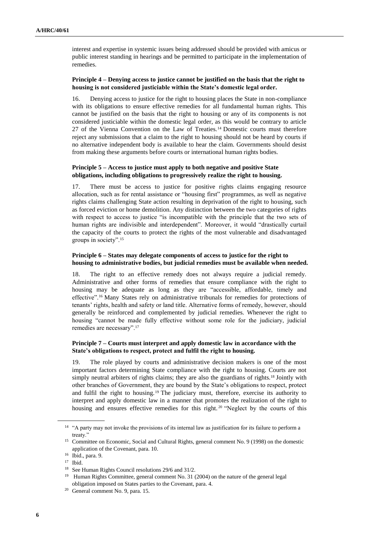interest and expertise in systemic issues being addressed should be provided with amicus or public interest standing in hearings and be permitted to participate in the implementation of remedies.

#### **Principle 4 – Denying access to justice cannot be justified on the basis that the right to housing is not considered justiciable within the State's domestic legal order.**

16. Denying access to justice for the right to housing places the State in non-compliance with its obligations to ensure effective remedies for all fundamental human rights. This cannot be justified on the basis that the right to housing or any of its components is not considered justiciable within the domestic legal order, as this would be contrary to article 27 of the Vienna Convention on the Law of Treaties.<sup>14</sup> Domestic courts must therefore reject any submissions that a claim to the right to housing should not be heard by courts if no alternative independent body is available to hear the claim. Governments should desist from making these arguments before courts or international human rights bodies.

#### **Principle 5 – Access to justice must apply to both negative and positive State obligations, including obligations to progressively realize the right to housing.**

17. There must be access to justice for positive rights claims engaging resource allocation, such as for rental assistance or "housing first" programmes, as well as negative rights claims challenging State action resulting in deprivation of the right to housing, such as forced eviction or home demolition. Any distinction between the two categories of rights with respect to access to justice "is incompatible with the principle that the two sets of human rights are indivisible and interdependent". Moreover, it would "drastically curtail the capacity of the courts to protect the rights of the most vulnerable and disadvantaged groups in society".<sup>15</sup>

#### **Principle 6 – States may delegate components of access to justice for the right to housing to administrative bodies, but judicial remedies must be available when needed.**

18. The right to an effective remedy does not always require a judicial remedy. Administrative and other forms of remedies that ensure compliance with the right to housing may be adequate as long as they are "accessible, affordable, timely and effective".<sup>16</sup> Many States rely on administrative tribunals for remedies for protections of tenants' rights, health and safety or land title. Alternative forms of remedy, however, should generally be reinforced and complemented by judicial remedies. Whenever the right to housing "cannot be made fully effective without some role for the judiciary, judicial remedies are necessary".<sup>17</sup>

#### **Principle 7 – Courts must interpret and apply domestic law in accordance with the State's obligations to respect, protect and fulfil the right to housing.**

19. The role played by courts and administrative decision makers is one of the most important factors determining State compliance with the right to housing. Courts are not simply neutral arbiters of rights claims; they are also the guardians of rights.<sup>18</sup> Jointly with other branches of Government, they are bound by the State's obligations to respect, protect and fulfil the right to housing. <sup>19</sup> The judiciary must, therefore, exercise its authority to interpret and apply domestic law in a manner that promotes the realization of the right to housing and ensures effective remedies for this right. <sup>20</sup> "Neglect by the courts of this

<sup>&</sup>lt;sup>14</sup> "A party may not invoke the provisions of its internal law as justification for its failure to perform a treaty."

<sup>&</sup>lt;sup>15</sup> [Committee](http://docstore.ohchr.org/SelfServices/FilesHandler.ashx?enc=4slQ6QSmlBEDzFEovLCuW%2bKyH%2bnXprasyMzd2e8mx4dQ97P%2faGGKfJFH9rwpw6cTUUR6IujQzSsxPX9s0ajOJFYmVxnpfiq3I%2f837skyPwv5hu29PWunpMbGNzdx8Q2m) on Economic, Social and Cultural Rights, general comment No. 9 (1998) on the domestic application of the Covenant, para. 10.

<sup>16</sup> Ibid., para. 9.

<sup>17</sup> Ibid.

<sup>18</sup> See Human Rights Council resolutions 29/6 and 31/2.

<sup>&</sup>lt;sup>19</sup> Human Rights Committee, general comment No. 31 (2004) on the nature of the general legal obligation imposed on States parties to the Covenant, para. 4.

<sup>20</sup> [General](http://docstore.ohchr.org/SelfServices/FilesHandler.ashx?enc=4slQ6QSmlBEDzFEovLCuW%2bKyH%2bnXprasyMzd2e8mx4dQ97P%2faGGKfJFH9rwpw6cTUUR6IujQzSsxPX9s0ajOJFYmVxnpfiq3I%2f837skyPwv5hu29PWunpMbGNzdx8Q2m) comment No. 9, para. 15.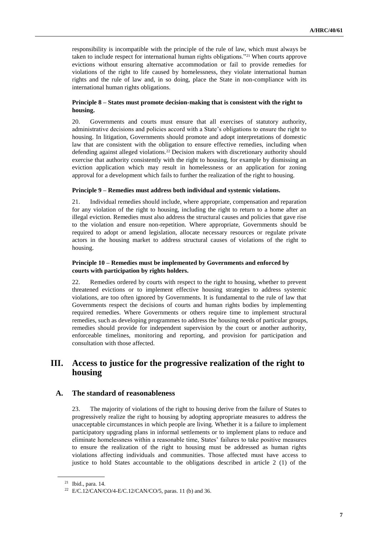responsibility is incompatible with the principle of the rule of law, which must always be taken to include respect for international human rights obligations."<sup>21</sup> When courts approve evictions without ensuring alternative accommodation or fail to provide remedies for violations of the right to life caused by homelessness, they violate international human rights and the rule of law and, in so doing, place the State in non-compliance with its international human rights obligations.

#### **Principle 8 – States must promote decision-making that is consistent with the right to housing.**

20. Governments and courts must ensure that all exercises of statutory authority, administrative decisions and policies accord with a State's obligations to ensure the right to housing. In litigation, Governments should promote and adopt interpretations of domestic law that are consistent with the obligation to ensure effective remedies, including when defending against alleged violations.<sup>22</sup> Decision makers with discretionary authority should exercise that authority consistently with the right to housing, for example by dismissing an eviction application which may result in homelessness or an application for zoning approval for a development which fails to further the realization of the right to housing.

#### **Principle 9 – Remedies must address both individual and systemic violations.**

21. Individual remedies should include, where appropriate, compensation and reparation for any violation of the right to housing, including the right to return to a home after an illegal eviction. Remedies must also address the structural causes and policies that gave rise to the violation and ensure non-repetition. Where appropriate, Governments should be required to adopt or amend legislation, allocate necessary resources or regulate private actors in the housing market to address structural causes of violations of the right to housing.

#### **Principle 10 – Remedies must be implemented by Governments and enforced by courts with participation by rights holders.**

22. Remedies ordered by courts with respect to the right to housing, whether to prevent threatened evictions or to implement effective housing strategies to address systemic violations, are too often ignored by Governments. It is fundamental to the rule of law that Governments respect the decisions of courts and human rights bodies by implementing required remedies. Where Governments or others require time to implement structural remedies, such as developing programmes to address the housing needs of particular groups, remedies should provide for independent supervision by the court or another authority, enforceable timelines, monitoring and reporting, and provision for participation and consultation with those affected.

## **III. Access to justice for the progressive realization of the right to housing**

#### **A. The standard of reasonableness**

23. The majority of violations of the right to housing derive from the failure of States to progressively realize the right to housing by adopting appropriate measures to address the unacceptable circumstances in which people are living. Whether it is a failure to implement participatory upgrading plans in informal settlements or to implement plans to reduce and eliminate homelessness within a reasonable time, States' failures to take positive measures to ensure the realization of the right to housing must be addressed as human rights violations affecting individuals and communities. Those affected must have access to justice to hold States accountable to the obligations described in article 2 (1) of the

<sup>21</sup> Ibid., para. 14.

<sup>22</sup> [E/C.12/CAN/CO/4-](http://docstore.ohchr.org/SelfServices/FilesHandler.ashx?enc=4slQ6QSmlBEDzFEovLCuW4yzVsFh%2fjl1u%2ft0KVExfQRwZ%2b5HxpgPO9PuQF9gLotdIx%2fuZ8xzbxEKEVWyISwWzDBnGrNKEGMILf1S7oFrhRBH7r6xN%2bKse4Vl5KjWvPSn)E/C.12/CAN/CO/5, paras. 11 (b) and 36.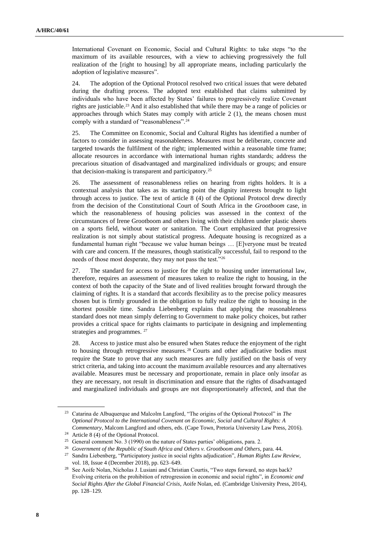International Covenant on Economic, Social and Cultural Rights: to take steps "to the maximum of its available resources, with a view to achieving progressively the full realization of the [right to housing] by all appropriate means, including particularly the adoption of legislative measures".

24. The adoption of the Optional Protocol resolved two critical issues that were debated during the drafting process. The adopted text established that claims submitted by individuals who have been affected by States' failures to progressively realize Covenant rights are justiciable.<sup>23</sup> And it also established that while there may be a range of policies or approaches through which States may comply with article 2 (1), the means chosen must comply with a standard of "reasonableness".<sup>24</sup>

25. The Committee on Economic, Social and Cultural Rights has identified a number of factors to consider in assessing reasonableness. Measures must be deliberate, concrete and targeted towards the fulfilment of the right; implemented within a reasonable time frame; allocate resources in accordance with international human rights standards; address the precarious situation of disadvantaged and marginalized individuals or groups; and ensure that decision-making is transparent and participatory.<sup>25</sup>

26. The assessment of reasonableness relies on hearing from rights holders. It is a contextual analysis that takes as its starting point the dignity interests brought to light through access to justice. The text of article 8 (4) of the Optional Protocol drew directly from the decision of the Constitutional Court of South Africa in the *Grootboom* case, in which the reasonableness of housing policies was assessed in the context of the circumstances of Irene Grootboom and others living with their children under plastic sheets on a sports field, without water or sanitation. The Court emphasized that progressive realization is not simply about statistical progress. Adequate housing is recognized as a fundamental human right "because we value human beings … [E]veryone must be treated with care and concern. If the measures, though statistically successful, fail to respond to the needs of those most desperate, they may not pass the test."<sup>26</sup>

27. The standard for access to justice for the right to housing under international law, therefore, requires an assessment of measures taken to realize the right to housing, in the context of both the capacity of the State and of lived realities brought forward through the claiming of rights. It is a standard that accords flexibility as to the precise policy measures chosen but is firmly grounded in the obligation to fully realize the right to housing in the shortest possible time. Sandra Liebenberg explains that applying the reasonableness standard does not mean simply deferring to Government to make policy choices, but rather provides a critical space for rights claimants to participate in designing and implementing strategies and programmes. <sup>27</sup>

28. Access to justice must also be ensured when States reduce the enjoyment of the right to housing through retrogressive measures. <sup>28</sup> Courts and other adjudicative bodies must require the State to prove that any such measures are fully justified on the basis of very strict criteria, and taking into account the maximum available resources and any alternatives available. Measures must be necessary and proportionate, remain in place only insofar as they are necessary, not result in discrimination and ensure that the rights of disadvantaged and marginalized individuals and groups are not disproportionately affected, and that the

<sup>23</sup> Catarina de Albuquerque and Malcolm Langford, "The origins of the Optional Protocol" in *The Optional Protocol to the International Covenant on Economic, Social and Cultural Rights: A Commentary*, Malcom Langford and others, eds. (Cape Town, Pretoria University Law Press, 2016).

<sup>24</sup> Article 8 (4) of the Optional Protocol.

<sup>&</sup>lt;sup>25</sup> General comment No. 3 (1990) on the nature of States parties' obligations, para. 2.

<sup>26</sup> *Government of the Republic of South Africa and Others v. Grootboom and Others*, para. 44.

<sup>27</sup> Sandra Liebenberg, "Participatory justice in social rights adjudication", *Human Rights Law Review,* vol. 18, Issue 4 (December 2018), pp. 623–649.

<sup>&</sup>lt;sup>28</sup> See Aoife Nolan, Nicholas J. Lusiani and Christian Courtis, "Two steps forward, no steps back? Evolving criteria on the prohibition of retrogression in economic and social rights", in *Economic and Social Rights After the Global Financial Crisis*, Aoife Nolan, ed. (Cambridge University Press, 2014), pp. 128–129.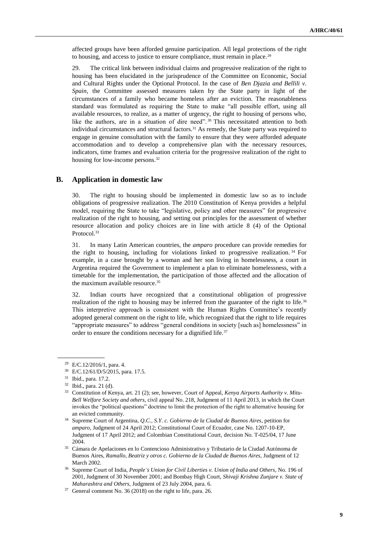affected groups have been afforded genuine participation. All legal protections of the right to housing, and access to justice to ensure compliance, must remain in place.<sup>29</sup>

29. The critical link between individual claims and progressive realization of the right to housing has been elucidated in the jurisprudence of the Committee on Economic, Social and Cultural Rights under the Optional Protocol. In the case of *Ben Djazia and Bellili v. Spain*, the Committee assessed measures taken by the State party in light of the circumstances of a family who became homeless after an eviction. The reasonableness standard was formulated as requiring the State to make "all possible effort, using all available resources, to realize, as a matter of urgency, the right to housing of persons who, like the authors, are in a situation of dire need". <sup>30</sup> This necessitated attention to both individual circumstances and structural factors.<sup>31</sup> As remedy, the State party was required to engage in genuine consultation with the family to ensure that they were afforded adequate accommodation and to develop a comprehensive plan with the necessary resources, indicators, time frames and evaluation criteria for the progressive realization of the right to housing for low-income persons.<sup>32</sup>

### **B. Application in domestic law**

30. The right to housing should be implemented in domestic law so as to include obligations of progressive realization. The 2010 Constitution of Kenya provides a helpful model, requiring the State to take "legislative, policy and other measures" for progressive realization of the right to housing, and setting out principles for the assessment of whether resource allocation and policy choices are in line with article 8 (4) of the Optional Protocol.<sup>33</sup>

31. In many Latin American countries, the *amparo* procedure can provide remedies for the right to housing, including for violations linked to progressive realization. <sup>34</sup> For example, in a case brought by a woman and her son living in homelessness, a court in Argentina required the Government to implement a plan to eliminate homelessness, with a timetable for the implementation, the participation of those affected and the allocation of the maximum available resource.<sup>35</sup>

32. Indian courts have recognized that a constitutional obligation of progressive realization of the right to housing may be inferred from the guarantee of the right to life.<sup>36</sup> This interpretive approach is consistent with the Human Rights Committee's recently adopted general comment on the right to life, which recognized that the right to life requires "appropriate measures" to address "general conditions in society [such as] homelessness" in order to ensure the conditions necessary for a dignified life.<sup>37</sup>

<sup>29</sup> [E/C.12/2016/1,](http://docstore.ohchr.org/SelfServices/FilesHandler.ashx?enc=4slQ6QSmlBEDzFEovLCuW1AVC1NkPsgUedPlF1vfPMI1dM0LG5Sh19Ok7ayJV%2ft%2fx31%2f%2f8BgnFDzL1QIOCR5W4SICvncITJcGgDSgB9xvVXDWES4s1PUm8pv8acIvEFp) para. 4.

<sup>30</sup> E/C.12/61/D/5/2015, para. 17.5.

<sup>31</sup> Ibid., para. 17.2.

<sup>32</sup> Ibid., para. 21 (d).

<sup>33</sup> Constitution of Kenya, art. 21 (2); see, however*,* Court of Appeal, *Kenya Airports Authority v. Mitu-Bell Welfare Society and others*, civil appeal No. 218, Judgment of 11 April 2013, in which the Court invokes the "political questions" doctrine to limit the protection of the right to alternative housing for an evicted community.

<sup>34</sup> Supreme Court of Argentina*, Q.C., S.Y. c. Gobierno de la Ciudad de Buenos Aires*, petition for *amparo*, Judgment of 24 April 2012; Constitutional Court of Ecuador, case No. 1207-10-EP*,*  Judgment of 17 April 2012; and Colombian Constitutional Court, decision No. T-025/04, 17 June 2004.

<sup>35</sup> Cámara de Apelaciones en lo Contencioso Administrativo y Tributario de la Ciudad Autónoma de Buenos Aires, *Ramallo, Beatriz y otros c. Gobierno de la Ciudad de Buenos Aires, Judgment of 12* March 2002.

<sup>36</sup> Supreme Court of India, *People's Union for Civil Liberties v. Union of India and Others*, No. 196 of 2001, Judgment of 30 November 2001; and Bombay High Court, *Shivaji Krishna Zunjare v. State of Maharashtra and Others*, Judgment of 23 July 2004, para. 6.

<sup>37</sup> [General](https://www.google.com/url?sa=t&rct=j&q=&esrc=s&source=web&cd=3&ved=2ahUKEwjX4J2J3tLfAhXSzlkKHZqVCJwQFjACegQICBAC&url=https%3A%2F%2Fwww.ohchr.org%2FDocuments%2FHRBodies%2FCCPR%2FCCPR-C-GC-R-36.doc&usg=AOvVaw03FLZD6Lph7tdKWZC5wJEC) comment No. 36 (2018) on the right to life, para. 26.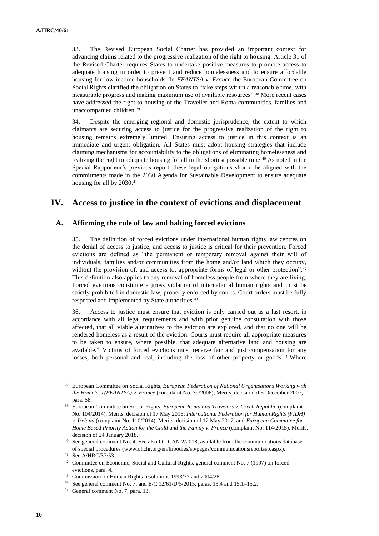33. The Revised European Social Charter has provided an important context for advancing claims related to the progressive realization of the right to housing. Article 31 of the Revised Charter requires States to undertake positive measures to promote access to adequate housing in order to prevent and reduce homelessness and to ensure affordable housing for low-income households. In *FEANTSA v. France* the European Committee on Social Rights clarified the obligation on States to "take steps within a reasonable time, with measurable progress and making maximum use of available resources".<sup>38</sup> More recent cases have addressed the right to housing of the Traveller and Roma communities, families and unaccompanied children.<sup>39</sup>

34. Despite the emerging regional and domestic jurisprudence, the extent to which claimants are securing access to justice for the progressive realization of the right to housing remains extremely limited. Ensuring access to justice in this context is an immediate and urgent obligation. All States must adopt housing strategies that include claiming mechanisms for accountability to the obligations of eliminating homelessness and realizing the right to adequate housing for all in the shortest possible time.<sup>40</sup> As noted in the Special Rapporteur's previous report, these legal obligations should be aligned with the commitments made in the 2030 Agenda for Sustainable Development to ensure adequate housing for all by 2030.<sup>41</sup>

## **IV. Access to justice in the context of evictions and displacement**

### **A. Affirming the rule of law and halting forced evictions**

35. The definition of forced evictions under international human rights law centres on the denial of access to justice, and access to justice is critical for their prevention. Forced evictions are defined as "the permanent or temporary removal against their will of individuals, families and/or communities from the home and/or land which they occupy, without the provision of, and access to, appropriate forms of legal or other protection".<sup>42</sup> This definition also applies to any removal of homeless people from where they are living. Forced evictions constitute a gross violation of international human rights and must be strictly prohibited in domestic law, properly enforced by courts. Court orders must be fully respected and implemented by State authorities.<sup>43</sup>

36. Access to justice must ensure that eviction is only carried out as a last resort, in accordance with all legal requirements and with prior genuine consultation with those affected, that all viable alternatives to the eviction are explored, and that no one will be rendered homeless as a result of the eviction. Courts must require all appropriate measures to be taken to ensure, where possible, that adequate alternative land and housing are available.<sup>44</sup> Victims of forced evictions must receive fair and just compensation for any losses, both personal and real, including the loss of other property or goods.<sup>45</sup> Where

<sup>38</sup> European Committee on Social Rights, *European Federation of National Organisations Working with the Homeless (FEANTSA) v. France* (complaint No. 39/2006), Merits, decision of 5 December 2007, para. 58.

<sup>&</sup>lt;sup>39</sup> European Committee on Social Rights, *European Roma and Travelers v. Czech Republic* (complaint No. 104/2014), Merits, decision of 17 May 2016; *International Federation for Human Rights (FIDH) v. Ireland* (complaint No. 110/2014), Merits, decision of 12 May 2017; and *European Committee for Home Based Priority Action for the Child and the Family v. France* (complaint No. 114/2015), Merits, decision of 24 January 2018.

<sup>&</sup>lt;sup>40</sup> See general comment No. 4. See als[o OL CAN 2/2018,](https://www.ohchr.org/Documents/Issues/Housing/OL%20CAN%2022.06.18.pdf) available from the communications database of special procedures (www.ohchr.org/en/hrbodies/sp/pages/communicationsreportssp.aspx).

<sup>41</sup> Se[e A/HRC/37/53.](http://www.undocs.org/A/HRC/37/53)

<sup>&</sup>lt;sup>42</sup> Committee on Economic, Social and Cultural Rights, general comment No. 7 (1997) on forced evictions, para. 4.

<sup>43</sup> Commission on Human Rights resolutions 1993/77 and 2004/28.

<sup>44</sup> See general comment No. 7; and [E/C.12/61/D/5/2015,](https://www.google.com/url?sa=t&rct=j&q=&esrc=s&source=web&cd=2&cad=rja&uact=8&ved=2ahUKEwjOleLq4NLfAhVo9YMKHfwZB5wQFjABegQICBAC&url=http%3A%2F%2Fdocstore.ohchr.org%2FSelfServices%2FFilesHandler.ashx%3Fenc%3D4slQ6QSmlBEDzFEovLCuWwFxY1mqLbp5EEjeL2wr8QZ5yGdFWeZK8t%252BOYmr%252FpqooooDrULo4nTNRoacaMIyCwIKxQ%252BcwSiBnoXqTqax%252F2wZmt%252F0Z8a4LLrYgS%252Bks6R4v&usg=AOvVaw1xtmJEVX2iFvs-fwEKEzDl) paras. 13.4 and 15.1–15.2.

<sup>45</sup> General comment No. 7, para. 13.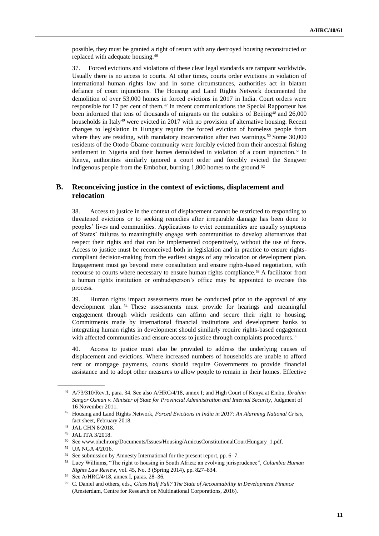possible, they must be granted a right of return with any destroyed housing reconstructed or replaced with adequate housing.<sup>46</sup>

37. Forced evictions and violations of these clear legal standards are rampant worldwide. Usually there is no access to courts. At other times, courts order evictions in violation of international human rights law and in some circumstances, authorities act in blatant defiance of court injunctions. The Housing and Land Rights Network documented the demolition of over 53,000 homes in forced evictions in 2017 in India. Court orders were responsible for 17 per cent of them.<sup>47</sup> In recent communications the Special Rapporteur has been informed that tens of thousands of migrants on the outskirts of Beijing<sup>48</sup> and 26,000 households in Italy<sup>49</sup> were evicted in 2017 with no provision of alternative housing. Recent changes to legislation in Hungary require the forced eviction of homeless people from where they are residing, with mandatory incarceration after two warnings.<sup>50</sup> Some 30,000 residents of the Otodo Gbame community were forcibly evicted from their ancestral fishing settlement in Nigeria and their homes demolished in violation of a court injunction.<sup>51</sup> In Kenya, authorities similarly ignored a court order and forcibly evicted the Sengwer indigenous people from the Embobut, burning  $1,800$  homes to the ground.<sup>52</sup>

## **B. Reconceiving justice in the context of evictions, displacement and relocation**

38. Access to justice in the context of displacement cannot be restricted to responding to threatened evictions or to seeking remedies after irreparable damage has been done to peoples' lives and communities. Applications to evict communities are usually symptoms of States' failures to meaningfully engage with communities to develop alternatives that respect their rights and that can be implemented cooperatively, without the use of force. Access to justice must be reconceived both in legislation and in practice to ensure rightscompliant decision-making from the earliest stages of any relocation or development plan. Engagement must go beyond mere consultation and ensure rights-based negotiation, with recourse to courts where necessary to ensure human rights compliance.<sup>53</sup> A facilitator from a human rights institution or ombudsperson's office may be appointed to oversee this process.

39. Human rights impact assessments must be conducted prior to the approval of any development plan. <sup>54</sup> These assessments must provide for hearings and meaningful engagement through which residents can affirm and secure their right to housing. Commitments made by international financial institutions and development banks to integrating human rights in development should similarly require rights-based engagement with affected communities and ensure access to justice through complaints procedures.<sup>55</sup>

40. Access to justice must also be provided to address the underlying causes of displacement and evictions. Where increased numbers of households are unable to afford rent or mortgage payments, courts should require Governments to provide financial assistance and to adopt other measures to allow people to remain in their homes. Effective

<sup>46</sup> [A/73/310/Rev.1,](http://www.undocs.org/A/73/310/rev.1) para. 34. See also [A/HRC/4/18,](https://undocs.org/A/HRC/4/18) annex I; and High Court of Kenya at Embu, *Ibrahim Sangor Osman v. Minister of State for Provincial Administration and Internal Security*, Judgment of 16 November 2011.

<sup>47</sup> Housing and Land Rights Network, *Forced Evictions in India in 2017: An Alarming National Crisis,*  fact sheet, February 2018.

<sup>48</sup> [JAL CHN 8/2018.](https://spcommreports.in.ohchr.org/TMResultsBase/DownLoadPublicCommunicationFile?gId=22816)

<sup>49</sup> JAL ITA 3/2018.

 $^{50}\,$  Se[e www.ohchr.org/Documents/Issues/Housing/AmicusConstitutionalCourtHungary\\_1.pdf.](file:///C:/Users/Valued%20Customer/Documents/Bonnie%20Wordsmith/Documents%202019/January/www.ohchr.org/Documents/Issues/Housing/AmicusConstitutionalCourtHungary_1.pdf)

<sup>51</sup> [UA NGA 4/2016.](https://spcommreports.in.ohchr.org/TMResultsBase/DownLoadPublicCommunicationFile?gId=22849)

<sup>52</sup> See submission by Amnesty International for the present report, pp. 6–7.

<sup>53</sup> Lucy Williams, "The right to housing in South Africa: an evolving jurisprudence", *Columbia Human Rights Law Review*, vol. 45, No. 3 (Spring 2014), pp. 827–834.

<sup>54</sup> Se[e A/HRC/4/18,](https://undocs.org/A/HRC/4/18) annex I, paras. 28–36.

<sup>55</sup> C. Daniel and others, eds., *Glass Half Full? The State of Accountability in Development Finance* (Amsterdam, Centre for Research on Multinational Corporations, 2016).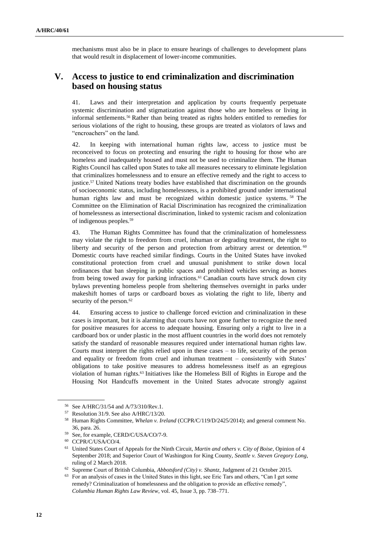mechanisms must also be in place to ensure hearings of challenges to development plans that would result in displacement of lower-income communities.

## **V. Access to justice to end criminalization and discrimination based on housing status**

41. Laws and their interpretation and application by courts frequently perpetuate systemic discrimination and stigmatization against those who are homeless or living in informal settlements.<sup>56</sup> Rather than being treated as rights holders entitled to remedies for serious violations of the right to housing, these groups are treated as violators of laws and "encroachers" on the land.

42. In keeping with international human rights law, access to justice must be reconceived to focus on protecting and ensuring the right to housing for those who are homeless and inadequately housed and must not be used to criminalize them. The Human Rights Council has called upon States to take all measures necessary to eliminate legislation that criminalizes homelessness and to ensure an effective remedy and the right to access to justice.<sup>57</sup> United Nations treaty bodies have established that discrimination on the grounds of socioeconomic status, including homelessness, is a prohibited ground under international human rights law and must be recognized within domestic justice systems. <sup>58</sup> The Committee on the Elimination of Racial Discrimination has recognized the criminalization of homelessness as intersectional discrimination, linked to systemic racism and colonization of indigenous peoples.<sup>59</sup>

43. The Human Rights Committee has found that the criminalization of homelessness may violate the right to freedom from cruel, inhuman or degrading treatment, the right to liberty and security of the person and protection from arbitrary arrest or detention. <sup>60</sup> Domestic courts have reached similar findings. Courts in the United States have invoked constitutional protection from cruel and unusual punishment to strike down local ordinances that ban sleeping in public spaces and prohibited vehicles serving as homes from being towed away for parking infractions.<sup>61</sup> Canadian courts have struck down city bylaws preventing homeless people from sheltering themselves overnight in parks under makeshift homes of tarps or cardboard boxes as violating the right to life, liberty and security of the person.<sup>62</sup>

44. Ensuring access to justice to challenge forced eviction and criminalization in these cases is important, but it is alarming that courts have not gone further to recognize the need for positive measures for access to adequate housing. Ensuring only a right to live in a cardboard box or under plastic in the most affluent countries in the world does not remotely satisfy the standard of reasonable measures required under international human rights law. Courts must interpret the rights relied upon in these cases – to life, security of the person and equality or freedom from cruel and inhuman treatment – consistently with States' obligations to take positive measures to address homelessness itself as an egregious violation of human rights.<sup>63</sup> Initiatives like the Homeless Bill of Rights in Europe and the Housing Not Handcuffs movement in the United States advocate strongly against

<sup>56</sup> Se[e A/HRC/31/54](http://www.undocs.org/A/HRC/31/54) an[d A/73/310/Rev.1.](http://www.undocs.org/A/73/310/rev.1)

<sup>57</sup> [Resolution 31/9.](https://daccess-ods.un.org/TMP/540101.937949657.html) See also [A/HRC/13/20.](https://www2.ohchr.org/english/bodies/hrcouncil/docs/13session/a-hrc-13-20.pdf)

<sup>58</sup> Human Rights Committee, *Whelan v. Ireland* [\(CCPR/C/119/D/2425/2014\)](http://docstore.ohchr.org/SelfServices/FilesHandler.ashx?enc=6QkG1d%2fPPRiCAqhKb7yhsukPtYsnxNH1DBeueuCbK4iaT1CQuaQlRXRsqX35MhzhPVBDLP%2foSNzLTSJ0IXi4t9AtMtgomUkKZOFepoQIzWcZr268QJahAOPASoVK7e7qVxqPQx716xyBZuJn7ljWXQ%3d%3d); and general comment No. 36, para. 26.

<sup>59</sup> See, for example[, CERD/C/USA/CO/7-9.](http://docstore.ohchr.org/SelfServices/FilesHandler.ashx?enc=6QkG1d%2fPPRiCAqhKb7yhspzOl9YwTXeABruAM8pBAK1Q%2fDZ6XAqlyobgts1zwlHPkQhsSqMrVxuS6brQbHYpDYGXBUCX1bgRtTg3HaweAr4qQrmMMthjt7BGSblYQaS2)

<sup>60</sup> [CCPR/C/USA/CO/4.](https://www.google.com/url?sa=t&rct=j&q=&esrc=s&source=web&cd=2&cad=rja&uact=8&ved=2ahUKEwiVxc2-49LfAhUn0YMKHaw7CMMQFjABegQIAxAB&url=https%3A%2F%2Fundocs.org%2FCCPR%2FC%2FUSA%2FCO%2F4&usg=AOvVaw3yNa6HeP6_bCTTcOsuxtXM)

<sup>61</sup> United States Court of Appeals for the Ninth Circuit, *Martin and others v. City of Boise*, Opinion of 4 September 2018; and Superior Court of Washington for King County, *Seattle v. Steven Gregory Long*, ruling of 2 March 2018.

<sup>62</sup> Supreme Court of British Columbia, *Abbotsford (City) v. Shantz*, Judgment of 21 October 2015.

<sup>63</sup> For an analysis of cases in the United States in this light, see Eric Tars and others, "Can I get some remedy? Criminalization of homelessness and the obligation to provide an effective remedy", *Columbia Human Rights Law Review*, vol. 45, Issue 3, pp. 738–771.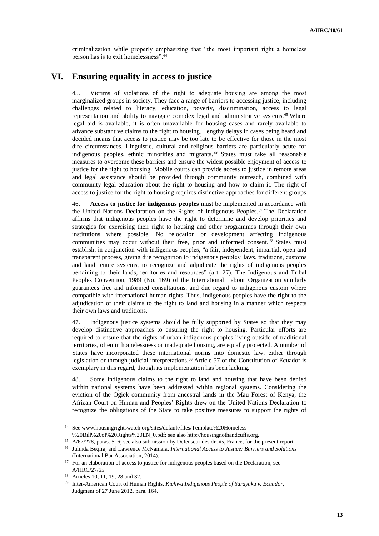criminalization while properly emphasizing that "the most important right a homeless person has is to exit homelessness".<sup>64</sup>

## **VI. Ensuring equality in access to justice**

45. Victims of violations of the right to adequate housing are among the most marginalized groups in society. They face a range of barriers to accessing justice, including challenges related to literacy, education, poverty, discrimination, access to legal representation and ability to navigate complex legal and administrative systems.<sup>65</sup> Where legal aid is available, it is often unavailable for housing cases and rarely available to advance substantive claims to the right to housing. Lengthy delays in cases being heard and decided means that access to justice may be too late to be effective for those in the most dire circumstances. Linguistic, cultural and religious barriers are particularly acute for indigenous peoples, ethnic minorities and migrants.<sup>66</sup> States must take all reasonable measures to overcome these barriers and ensure the widest possible enjoyment of access to justice for the right to housing. Mobile courts can provide access to justice in remote areas and legal assistance should be provided through community outreach, combined with community legal education about the right to housing and how to claim it. The right of access to justice for the right to housing requires distinctive approaches for different groups.

46. **Access to justice for indigenous peoples** must be implemented in accordance with the United Nations Declaration on the Rights of Indigenous Peoples.<sup>67</sup> The Declaration affirms that indigenous peoples have the right to determine and develop priorities and strategies for exercising their right to housing and other programmes through their own institutions where possible. No relocation or development affecting indigenous communities may occur without their free, prior and informed consent. <sup>68</sup> States must establish, in conjunction with indigenous peoples, "a fair, independent, impartial, open and transparent process, giving due recognition to indigenous peoples' laws, traditions, customs and land tenure systems, to recognize and adjudicate the rights of indigenous peoples pertaining to their lands, territories and resources" (art. 27). The Indigenous and Tribal Peoples Convention, 1989 (No. 169) of the International Labour Organization similarly guarantees free and informed consultations, and due regard to indigenous custom where compatible with international human rights. Thus, indigenous peoples have the right to the adjudication of their claims to the right to land and housing in a manner which respects their own laws and traditions.

47. Indigenous justice systems should be fully supported by States so that they may develop distinctive approaches to ensuring the right to housing. Particular efforts are required to ensure that the rights of urban indigenous peoples living outside of traditional territories, often in homelessness or inadequate housing, are equally protected. A number of States have incorporated these international norms into domestic law, either through legislation or through judicial interpretations.<sup>69</sup> Article 57 of the Constitution of Ecuador is exemplary in this regard, though its implementation has been lacking.

48. Some indigenous claims to the right to land and housing that have been denied within national systems have been addressed within regional systems. Considering the eviction of the Ogiek community from ancestral lands in the Mau Forest of Kenya, the African Court on Human and Peoples' Rights drew on the United Nations Declaration to recognize the obligations of the State to take positive measures to support the rights of

<sup>64</sup> Se[e www.housingrightswatch.org/sites/default/files/Template%20Homeless](file:///C:/Users/Valued%20Customer/Documents/Bonnie%20Wordsmith/Documents%202019/January/www.housingrightswatch.org/sites/default/files/Template%20Homeless) %20Bill%20of%20Rights%20EN\_0.pdf; see also http://housingnothandcuffs.org.

<sup>65</sup> [A/67/278,](https://undocs.org/A/67/278) paras. 5–6; see also submission by Defenseur des droits, France, for the present report.

<sup>66</sup> Julinda Beqiraj and Lawrence McNamara, *International Access to Justice: Barriers and Solutions* (International Bar Association, 2014).

 $67$  For an elaboration of access to justice for indigenous peoples based on the Declaration, see [A/HRC/27/65.](http://undocs.org/A/HRC/27/65)

<sup>68</sup> Articles 10, 11, 19, 28 and 32.

<sup>69</sup> Inter-American Court of Human Rights, *Kichwa Indigenous People of Sarayaku v. Ecuador*, Judgment of 27 June 2012, para. 164.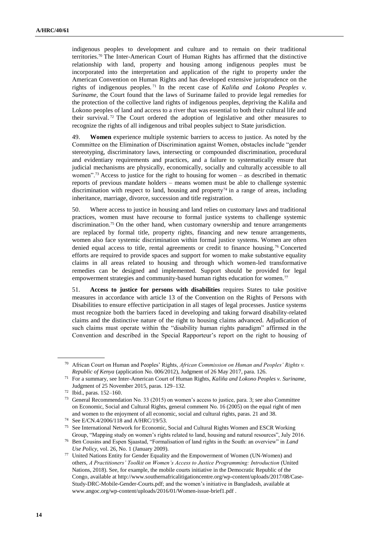indigenous peoples to development and culture and to remain on their traditional territories.<sup>70</sup> The Inter-American Court of Human Rights has affirmed that the distinctive relationship with land, property and housing among indigenous peoples must be incorporated into the interpretation and application of the right to property under the American Convention on Human Rights and has developed extensive jurisprudence on the rights of indigenous peoples. <sup>71</sup> In the recent case of *Kaliña and Lokono Peoples v. Suriname*, the Court found that the laws of Suriname failed to provide legal remedies for the protection of the collective land rights of indigenous peoples, depriving the Kaliña and Lokono peoples of land and access to a river that was essential to both their cultural life and their survival. <sup>72</sup> The Court ordered the adoption of legislative and other measures to recognize the rights of all indigenous and tribal peoples subject to State jurisdiction.

49. **Women** experience multiple systemic barriers to access to justice. As noted by the Committee on the Elimination of Discrimination against Women, obstacles include "gender stereotyping, discriminatory laws, intersecting or compounded discrimination, procedural and evidentiary requirements and practices, and a failure to systematically ensure that judicial mechanisms are physically, economically, socially and culturally accessible to all women".<sup>73</sup> Access to justice for the right to housing for women – as described in thematic reports of previous mandate holders – means women must be able to challenge systemic discrimination with respect to land, housing and property<sup>74</sup> in a range of areas, including inheritance, marriage, divorce, succession and title registration.

50. Where access to justice in housing and land relies on customary laws and traditional practices, women must have recourse to formal justice systems to challenge systemic discrimination.<sup>75</sup> On the other hand, when customary ownership and tenure arrangements are replaced by formal title, property rights, financing and new tenure arrangements, women also face systemic discrimination within formal justice systems. Women are often denied equal access to title, rental agreements or credit to finance housing.<sup>76</sup> Concerted efforts are required to provide spaces and support for women to make substantive equality claims in all areas related to housing and through which women-led transformative remedies can be designed and implemented. Support should be provided for legal empowerment strategies and community-based human rights education for women.<sup>77</sup>

51. **Access to justice for persons with disabilities** requires States to take positive measures in accordance with article 13 of the Convention on the Rights of Persons with Disabilities to ensure effective participation in all stages of legal processes. Justice systems must recognize both the barriers faced in developing and taking forward disability-related claims and the distinctive nature of the right to housing claims advanced. Adjudication of such claims must operate within the "disability human rights paradigm" affirmed in the Convention and described in the Special Rapporteur's report on the right to housing of

<sup>70</sup> African Court on Human and Peoples' Rights, *African Commission on Human and Peoples' Rights v. Republic of Kenya* (application No. 006/2012), Judgment of 26 May 2017, para. 126.

<sup>71</sup> For a summary, see Inter-American Court of Human Rights, *Kaliña and Lokono Peoples v. Suriname*, Judgment of 25 November 2015, paras. 129–132.

<sup>72</sup> Ibid., paras. 152–160.

<sup>73</sup> General Recommendation No. 33 (2015) on women's access to justice, para. 3; see also Committee on Economic, Social and Cultural Rights, general comment No. 16 (2005) on the equal right of men and women to the enjoyment of all economic, social and cultural rights, paras. 21 and 38.

<sup>74</sup> Se[e E/CN.4/2006/118](http://undocs.org/E/CN.4/2006/118) and [A/HRC/19/53.](http://undocs.org/A/HRC/19/53)

<sup>75</sup> See International Network for Economic, Social and Cultural Rights Women and ESCR Working Group, "Mapping study on women's rights related to land, housing and natural resources", July 2016.

<sup>76</sup> Ben Cousins and Espen Sjaastad, "Formalisation of land rights in the South: an overview" in *Land Use Policy*, vol. 26, No. 1 (January 2009).

<sup>77</sup> United Nations Entity for Gender Equality and the Empowerment of Women (UN-Women) and others, *A Practitioners' Toolkit on Women's Access to Justice Programming: Introduction* (United Nations, 2018). See, for example, the mobile courts initiative in the Democratic Republic of the Congo, available a[t http://www.southernafricalitigationcentre.org/wp-content/uploads/2017/08/Case-](http://www.southernafricalitigationcentre.org/wp-content/uploads/2017/08/Case-Study-DRC-Mobile-Gender-Courts.pdf)[Study-DRC-Mobile-Gender-Courts.pdf;](http://www.southernafricalitigationcentre.org/wp-content/uploads/2017/08/Case-Study-DRC-Mobile-Gender-Courts.pdf) and the women's initiative in Bangladesh, available at www.angoc.org/wp-content/uploads/2016/01/Women-issue-brief1.pdf .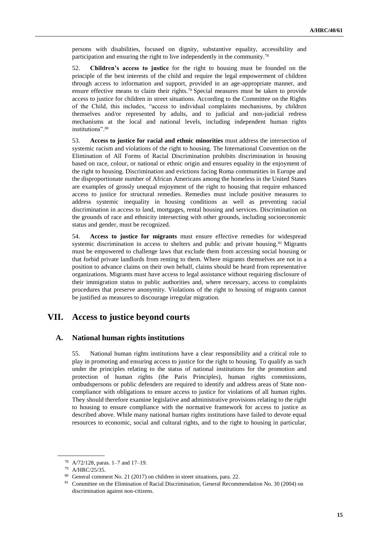persons with disabilities, focused on dignity, substantive equality, accessibility and participation and ensuring the right to live independently in the community.<sup>78</sup>

52. **Children's access to justice** for the right to housing must be founded on the principle of the best interests of the child and require the legal empowerment of children through access to information and support, provided in an age-appropriate manner, and ensure effective means to claim their rights.<sup>79</sup> Special measures must be taken to provide access to justice for children in street situations. According to the Committee on the Rights of the Child, this includes, "access to individual complaints mechanisms, by children themselves and/or represented by adults, and to judicial and non-judicial redress mechanisms at the local and national levels, including independent human rights institutions".<sup>80</sup>

53. **Access to justice for racial and ethnic minorities** must address the intersection of systemic racism and violations of the right to housing. The International Convention on the Elimination of All Forms of Racial Discrimination prohibits discrimination in housing based on race, colour, or national or ethnic origin and ensures equality in the enjoyment of the right to housing. Discrimination and evictions facing Roma communities in Europe and the disproportionate number of African Americans among the homeless in the United States are examples of grossly unequal enjoyment of the right to housing that require enhanced access to justice for structural remedies. Remedies must include positive measures to address systemic inequality in housing conditions as well as preventing racial discrimination in access to land, mortgages, rental housing and services. Discrimination on the grounds of race and ethnicity intersecting with other grounds, including socioeconomic status and gender, must be recognized.

54. **Access to justice for migrants** must ensure effective remedies for widespread systemic discrimination in access to shelters and public and private housing.<sup>81</sup> Migrants must be empowered to challenge laws that exclude them from accessing social housing or that forbid private landlords from renting to them. Where migrants themselves are not in a position to advance claims on their own behalf, claims should be heard from representative organizations. Migrants must have access to legal assistance without requiring disclosure of their immigration status to public authorities and, where necessary, access to complaints procedures that preserve anonymity. Violations of the right to housing of migrants cannot be justified as measures to discourage irregular migration.

# **VII. Access to justice beyond courts**

### **A. National human rights institutions**

55. National human rights institutions have a clear responsibility and a critical role to play in promoting and ensuring access to justice for the right to housing. To qualify as such under the principles relating to the status of national institutions for the promotion and protection of human rights (the Paris Principles), human rights commissions, ombudspersons or public defenders are required to identify and address areas of State noncompliance with obligations to ensure access to justice for violations of all human rights. They should therefore examine legislative and administrative provisions relating to the right to housing to ensure compliance with the normative framework for access to justice as described above. While many national human rights institutions have failed to devote equal resources to economic, social and cultural rights, and to the right to housing in particular,

<sup>78</sup> [A/72/128,](https://undocs.org/A/72/128) paras. 1–7 and 17–19.

<sup>79</sup> [A/HRC/25/35.](http://undocs.org/en/A/HRC/25/35)

<sup>80</sup> General comment No. 21 (2017) on children in street situations, para. 22.

<sup>&</sup>lt;sup>81</sup> Committee on the Elimination of Racial Discrimination, General Recommendation No. 30 (2004) on discrimination against non-citizens.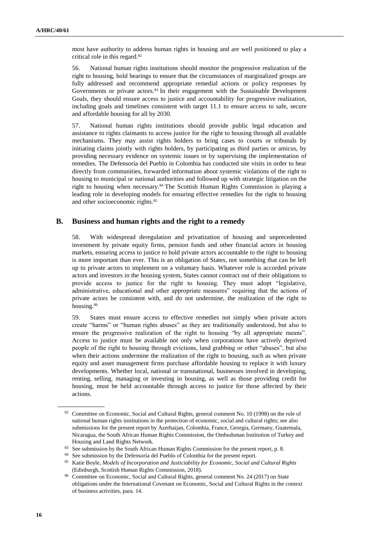most have authority to address human rights in housing and are well positioned to play a critical role in this regard.<sup>82</sup>

56. National human rights institutions should monitor the progressive realization of the right to housing, hold hearings to ensure that the circumstances of marginalized groups are fully addressed and recommend appropriate remedial actions or policy responses by Governments or private actors.<sup>83</sup> In their engagement with the Sustainable Development Goals, they should ensure access to justice and accountability for progressive realization, including goals and timelines consistent with target 11.1 to ensure access to safe, secure and affordable housing for all by 2030.

57. National human rights institutions should provide public legal education and assistance to rights claimants to access justice for the right to housing through all available mechanisms. They may assist rights holders to bring cases to courts or tribunals by initiating claims jointly with rights holders, by participating as third parties or amicus, by providing necessary evidence on systemic issues or by supervising the implementation of remedies. The Defensoría del Pueblo in Colombia has conducted site visits in order to hear directly from communities, forwarded information about systemic violations of the right to housing to municipal or national authorities and followed up with strategic litigation on the right to housing when necessary.<sup>84</sup> The Scottish Human Rights Commission is playing a leading role in developing models for ensuring effective remedies for the right to housing and other socioeconomic rights.<sup>85</sup>

### **B. Business and human rights and the right to a remedy**

58. With widespread deregulation and privatization of housing and unprecedented investment by private equity firms, pension funds and other financial actors in housing markets, ensuring access to justice to hold private actors accountable to the right to housing is more important than ever. This is an obligation of States, not something that can be left up to private actors to implement on a voluntary basis. Whatever role is accorded private actors and investors in the housing system, States cannot contract out of their obligations to provide access to justice for the right to housing. They must adopt "legislative, administrative, educational and other appropriate measures" requiring that the actions of private actors be consistent with, and do not undermine, the realization of the right to housing.<sup>86</sup>

59. States must ensure access to effective remedies not simply when private actors create "harms" or "human rights abuses" as they are traditionally understood, but also to ensure the progressive realization of the right to housing "by all appropriate means". Access to justice must be available not only when corporations have actively deprived people of the right to housing through evictions, land grabbing or other "abuses", but also when their actions undermine the realization of the right to housing, such as when private equity and asset management firms purchase affordable housing to replace it with luxury developments. Whether local, national or transnational, businesses involved in developing, renting, selling, managing or investing in housing, as well as those providing credit for housing, must be held accountable through access to justice for those affected by their actions.

<sup>82</sup> Committee on Economic, Social and Cultural Rights, general comment No. 10 (1998) on the role of national human rights institutions in the protection of economic, social and cultural rights; see also submissions for the present report by Azerbaijan, Colombia, France, Georgia, Germany, Guatemala, Nicaragua, the South African Human Rights Commission, the Ombudsman Institution of Turkey and Housing and Land Rights Network.

<sup>&</sup>lt;sup>83</sup> See submission by the South African Human Rights Commission for the present report, p. 8.

<sup>&</sup>lt;sup>84</sup> See submission by the Defensoría del Pueblo of Colombia for the present report.

<sup>85</sup> Katie Boyle, *Models of Incorporation and Justiciability for Economic, Social and Cultural Rights* (Edinburgh, Scottish Human Rights Commission, 2018).

<sup>86</sup> Committee on Economic, Social and Cultural Rights, general comment No. 24 (2017) on State obligations under the International Covenant on Economic, Social and Cultural Rights in the context of business activities, para. 14.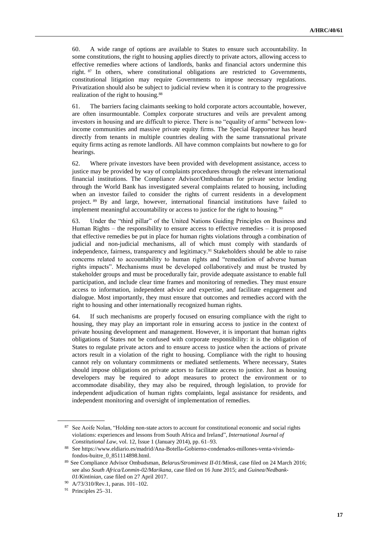60. A wide range of options are available to States to ensure such accountability. In some constitutions, the right to housing applies directly to private actors, allowing access to effective remedies where actions of landlords, banks and financial actors undermine this right. <sup>87</sup> In others, where constitutional obligations are restricted to Governments, constitutional litigation may require Governments to impose necessary regulations. Privatization should also be subject to judicial review when it is contrary to the progressive realization of the right to housing.<sup>88</sup>

61. The barriers facing claimants seeking to hold corporate actors accountable, however, are often insurmountable. Complex corporate structures and veils are prevalent among investors in housing and are difficult to pierce. There is no "equality of arms" between lowincome communities and massive private equity firms. The Special Rapporteur has heard directly from tenants in multiple countries dealing with the same transnational private equity firms acting as remote landlords. All have common complaints but nowhere to go for hearings.

62. Where private investors have been provided with development assistance, access to justice may be provided by way of complaints procedures through the relevant international financial institutions. The Compliance Advisor/Ombudsman for private sector lending through the World Bank has investigated several complaints related to housing, including when an investor failed to consider the rights of current residents in a development project. <sup>89</sup> By and large, however, international financial institutions have failed to implement meaningful accountability or access to justice for the right to housing.<sup>90</sup>

63. Under the "third pillar" of the United Nations Guiding Principles on Business and Human Rights – the responsibility to ensure access to effective remedies – it is proposed that effective remedies be put in place for human rights violations through a combination of judicial and non-judicial mechanisms, all of which must comply with standards of independence, fairness, transparency and legitimacy.<sup>91</sup> Stakeholders should be able to raise concerns related to accountability to human rights and "remediation of adverse human rights impacts". Mechanisms must be developed collaboratively and must be trusted by stakeholder groups and must be procedurally fair, provide adequate assistance to enable full participation, and include clear time frames and monitoring of remedies. They must ensure access to information, independent advice and expertise, and facilitate engagement and dialogue. Most importantly, they must ensure that outcomes and remedies accord with the right to housing and other internationally recognized human rights.

64. If such mechanisms are properly focused on ensuring compliance with the right to housing, they may play an important role in ensuring access to justice in the context of private housing development and management. However, it is important that human rights obligations of States not be confused with corporate responsibility: it is the obligation of States to regulate private actors and to ensure access to justice when the actions of private actors result in a violation of the right to housing. Compliance with the right to housing cannot rely on voluntary commitments or mediated settlements. Where necessary, States should impose obligations on private actors to facilitate access to justice. Just as housing developers may be required to adopt measures to protect the environment or to accommodate disability, they may also be required, through legislation, to provide for independent adjudication of human rights complaints, legal assistance for residents, and independent monitoring and oversight of implementation of remedies.

<sup>87</sup> See Aoife Nolan, "Holding non-state actors to account for constitutional economic and social rights violations: experiences and lessons from South Africa and Ireland", *International Journal of Constitutional Law*, vol. 12, Issue 1 (January 2014), pp. 61–93.

<sup>88</sup> Se[e https://www.eldiario.es/madrid/Ana-Botella-Gobierno-condenados-millones-venta-vivienda](https://www.eldiario.es/madrid/Ana-Botella-Gobierno-condenados-millones-venta-vivienda-fondos-buitre_0_851114898.html)[fondos-buitre\\_0\\_851114898.html.](https://www.eldiario.es/madrid/Ana-Botella-Gobierno-condenados-millones-venta-vivienda-fondos-buitre_0_851114898.html) 

<sup>89</sup> See Compliance Advisor Ombudsman, *Belarus/Strominvest II-01/Minsk*, case filed on 24 March 2016; see also *South Africa/Lonmin-02/Marikana*, case filed on 16 June 2015; and *Guinea/Nedbank-01/Kintinian*, case filed on 27 April 2017.

<sup>90</sup> [A/73/310/Rev.1,](http://www.undocs.org/A/73/310/rev.1) paras. 101–102.

<sup>91</sup> Principles 25–31.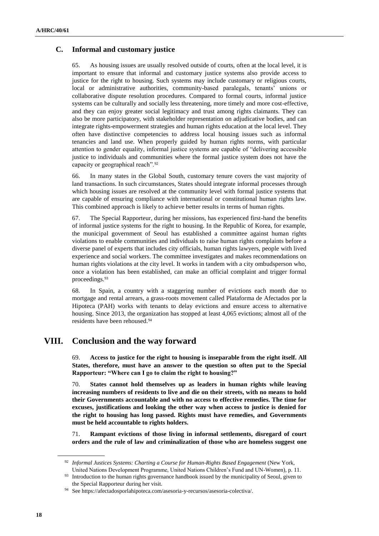### **C. Informal and customary justice**

65. As housing issues are usually resolved outside of courts, often at the local level, it is important to ensure that informal and customary justice systems also provide access to justice for the right to housing. Such systems may include customary or religious courts, local or administrative authorities, community-based paralegals, tenants' unions or collaborative dispute resolution procedures. Compared to formal courts, informal justice systems can be culturally and socially less threatening, more timely and more cost-effective, and they can enjoy greater social legitimacy and trust among rights claimants. They can also be more participatory, with stakeholder representation on adjudicative bodies, and can integrate rights-empowerment strategies and human rights education at the local level. They often have distinctive competencies to address local housing issues such as informal tenancies and land use. When properly guided by human rights norms, with particular attention to gender equality, informal justice systems are capable of "delivering accessible justice to individuals and communities where the formal justice system does not have the capacity or geographical reach".<sup>92</sup>

66. In many states in the Global South, customary tenure covers the vast majority of land transactions. In such circumstances, States should integrate informal processes through which housing issues are resolved at the community level with formal justice systems that are capable of ensuring compliance with international or constitutional human rights law. This combined approach is likely to achieve better results in terms of human rights.

67. The Special Rapporteur, during her missions, has experienced first-hand the benefits of informal justice systems for the right to housing. In the Republic of Korea, for example, the municipal government of Seoul has established a committee against human rights violations to enable communities and individuals to raise human rights complaints before a diverse panel of experts that includes city officials, human rights lawyers, people with lived experience and social workers. The committee investigates and makes recommendations on human rights violations at the city level. It works in tandem with a city ombudsperson who, once a violation has been established, can make an official complaint and trigger formal proceedings.<sup>93</sup>

68. In Spain, a country with a staggering number of evictions each month due to mortgage and rental arrears, a grass-roots movement called Plataforma de Afectados por la Hipoteca (PAH) works with tenants to delay evictions and ensure access to alternative housing. Since 2013, the organization has stopped at least 4,065 evictions; almost all of the residents have been rehoused.<sup>94</sup>

## **VIII. Conclusion and the way forward**

69. **Access to justice for the right to housing is inseparable from the right itself. All States, therefore, must have an answer to the question so often put to the Special Rapporteur: "Where can I go to claim the right to housing?"** 

70. **States cannot hold themselves up as leaders in human rights while leaving increasing numbers of residents to live and die on their streets, with no means to hold their Governments accountable and with no access to effective remedies. The time for excuses, justifications and looking the other way when access to justice is denied for the right to housing has long passed. Rights must have remedies, and Governments must be held accountable to rights holders.** 

71. **Rampant evictions of those living in informal settlements, disregard of court orders and the rule of law and criminalization of those who are homeless suggest one** 

<sup>&</sup>lt;sup>92</sup> Informal Justices Systems: Charting a Course for Human-Rights Based Engagement (New York, United Nations Development Programme, United Nations Children's Fund and UN-Women), p. 11.

<sup>&</sup>lt;sup>93</sup> Introduction to the human rights governance handbook issued by the municipality of Seoul, given to the Special Rapporteur during her visit.

<sup>94</sup> See https://afectadosporlahipoteca.com/asesoria-y-recursos/asesoria-colectiva/.